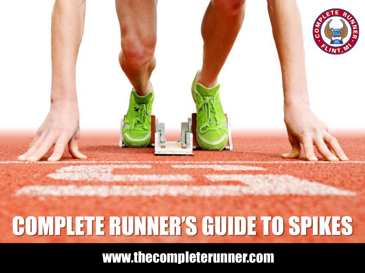

### COMPLETE RUNNER'S GUIDE TO SPIKES

www.thecompleterunner.com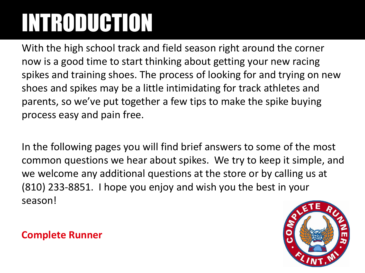# INTRODUCTION

With the high school track and field season right around the corner now is a good time to start thinking about getting your new racing spikes and training shoes. The process of looking for and trying on new shoes and spikes may be a little intimidating for track athletes and parents, so we've put together a few tips to make the spike buying process easy and pain free.

In the following pages you will find brief answers to some of the most common questions we hear about spikes. We try to keep it simple, and we welcome any additional questions at the store or by calling us at (810) 233-8851. I hope you enjoy and wish you the best in your season!

#### **Complete Runner**

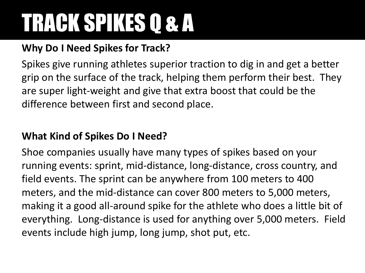### **Why Do I Need Spikes for Track?**

Spikes give running athletes superior traction to dig in and get a better grip on the surface of the track, helping them perform their best. They are super light-weight and give that extra boost that could be the difference between first and second place.

#### **What Kind of Spikes Do I Need?**

Shoe companies usually have many types of spikes based on your running events: sprint, mid-distance, long-distance, cross country, and field events. The sprint can be anywhere from 100 meters to 400 meters, and the mid-distance can cover 800 meters to 5,000 meters, making it a good all-around spike for the athlete who does a little bit of everything. Long-distance is used for anything over 5,000 meters. Field events include high jump, long jump, shot put, etc.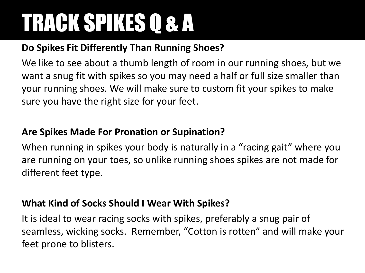#### **Do Spikes Fit Differently Than Running Shoes?**

We like to see about a thumb length of room in our running shoes, but we want a snug fit with spikes so you may need a half or full size smaller than your running shoes. We will make sure to custom fit your spikes to make sure you have the right size for your feet.

#### **Are Spikes Made For Pronation or Supination?**

When running in spikes your body is naturally in a "racing gait" where you are running on your toes, so unlike running shoes spikes are not made for different feet type.

#### **What Kind of Socks Should I Wear With Spikes?**

It is ideal to wear racing socks with spikes, preferably a snug pair of seamless, wicking socks. Remember, "Cotton is rotten" and will make your feet prone to blisters.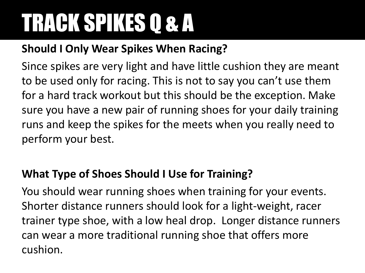### **Should I Only Wear Spikes When Racing?**

Since spikes are very light and have little cushion they are meant to be used only for racing. This is not to say you can't use them for a hard track workout but this should be the exception. Make sure you have a new pair of running shoes for your daily training runs and keep the spikes for the meets when you really need to perform your best.

### **What Type of Shoes Should I Use for Training?**

You should wear running shoes when training for your events. Shorter distance runners should look for a light-weight, racer trainer type shoe, with a low heal drop. Longer distance runners can wear a more traditional running shoe that offers more cushion.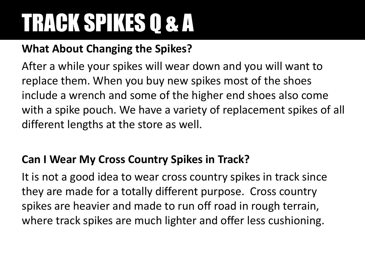### **What About Changing the Spikes?**

After a while your spikes will wear down and you will want to replace them. When you buy new spikes most of the shoes include a wrench and some of the higher end shoes also come with a spike pouch. We have a variety of replacement spikes of all different lengths at the store as well.

### **Can I Wear My Cross Country Spikes in Track?**

It is not a good idea to wear cross country spikes in track since they are made for a totally different purpose. Cross country spikes are heavier and made to run off road in rough terrain, where track spikes are much lighter and offer less cushioning.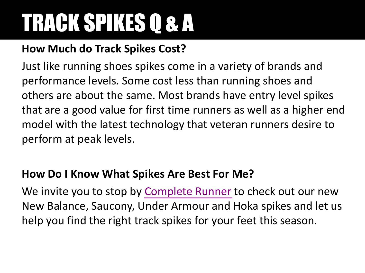### **How Much do Track Spikes Cost?**

Just like running shoes spikes come in a variety of brands and performance levels. Some cost less than running shoes and others are about the same. Most brands have entry level spikes that are a good value for first time runners as well as a higher end model with the latest technology that veteran runners desire to perform at peak levels.

### **How Do I Know What Spikes Are Best For Me?**

We invite you to stop by [Complete Runner](http://www.thecompleterunner.com/contact/) to check out our new New Balance, Saucony, Under Armour and Hoka spikes and let us help you find the right track spikes for your feet this season.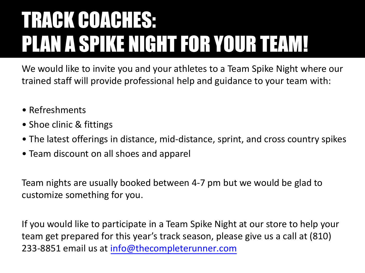### TRACK COACHES: PLAN A SPIKE NIGHT FOR YOUR TEAM!

We would like to invite you and your athletes to a Team Spike Night where our trained staff will provide professional help and guidance to your team with:

- Refreshments
- Shoe clinic & fittings
- The latest offerings in distance, mid-distance, sprint, and cross country spikes
- Team discount on all shoes and apparel

Team nights are usually booked between 4-7 pm but we would be glad to customize something for you.

If you would like to participate in a Team Spike Night at our store to help your team get prepared for this year's track season, please give us a call at (810) 233-8851 email us at info@thecompleterunner.com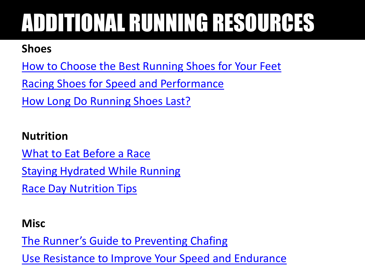# ADDITIONAL RUNNING RESOURCES

#### **Shoes**

[How to Choose the Best Running Shoes for Your Feet](http://www.thecompleterunner.com/2012/03/02/how-to-choose-the-best-running-shoes-for-your-feet/)

[Racing Shoes for Speed and Performance](http://www.thecompleterunner.com/2012/08/12/racing-shoes-for-speed-and-performance/)

[How Long Do Running Shoes Last?](http://www.thecompleterunner.com/2012/03/31/how-long-do-running-shoes-last/)

#### **Nutrition**

[What to Eat Before a Race](http://www.thecompleterunner.com/2013/08/22/what-to-eat-before-a-race/)

[Staying Hydrated While Running](http://www.thecompleterunner.com/2012/06/30/staying-hydrated-while-running/)

**[Race Day Nutrition Tips](http://www.thecompleterunner.com/2012/04/30/race-day-nutrition-tips/)** 

#### **Misc**

[The Runner's Guide to Preventing Chafing](http://www.thecompleterunner.com/2013/08/17/the-runners-guide-to-preventing-chafing/)

[Use Resistance to Improve Your Speed and Endurance](http://www.thecompleterunner.com/2013/04/29/use-resistance-to-improve-your-speed-and-endurance/)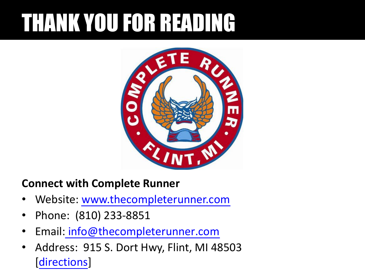## THANK YOU FOR READING



#### **Connect with Complete Runner**

- Website: [www.thecompleterunner.com](http://www.thecompleterunner.com/)
- Phone: (810) 233-8851
- Email: info@thecompleterunner.com
- Address: 915 S. Dort Hwy, Flint, MI 48503 [[directions](https://maps.google.com/maps?q=complete+runner+flint+mi&hl=en&sll=37.0625,-95.677068&sspn=36.315864,76.289063&hq=complete+runner&hnear=Flint,+Genesee,+Michigan&t=m&z=14)]